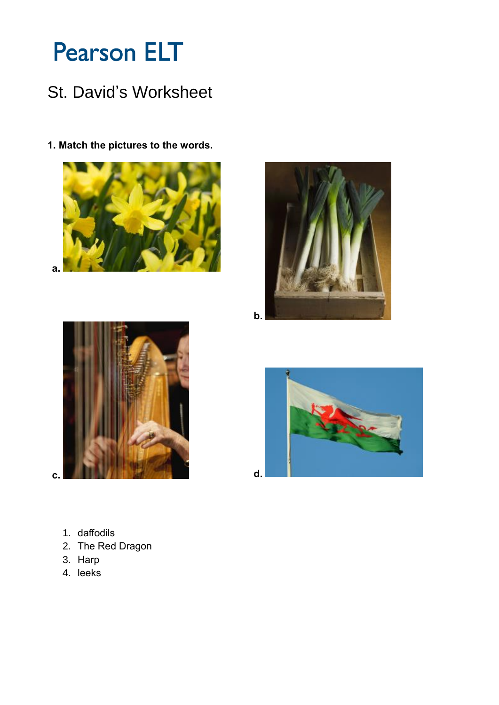# **Pearson ELT**

## St. David's Worksheet

1. Match the pictures to the words.







 $\mathbf{c}$ .



- 1. daffodils
- 2. The Red Dragon
- 3. Harp
- 4. leeks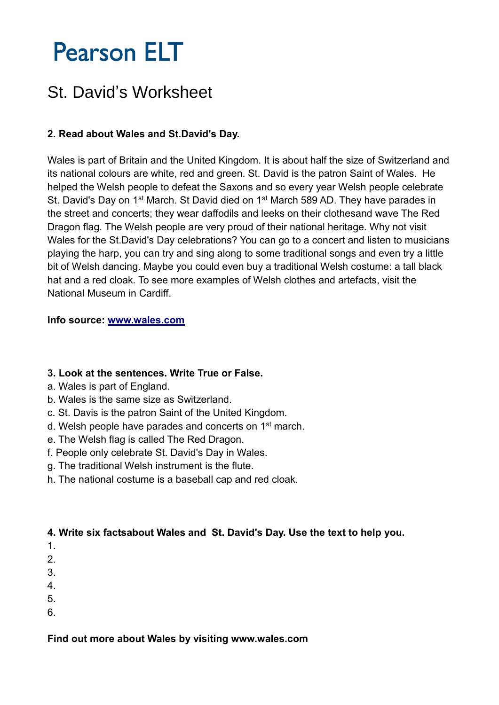# **Pearson ELT**

## St. David's Worksheet

### **2. Read about Wales and St.David's Day.**

Wales is part of Britain and the United Kingdom. It is about half the size of Switzerland and its national colours are white, red and green. St. David is the patron Saint of Wales. He helped the Welsh people to defeat the Saxons and so every year Welsh people celebrate St. David's Day on 1<sup>st</sup> March. St David died on 1<sup>st</sup> March 589 AD. They have parades in the street and concerts; they wear daffodils and leeks on their clothesand wave The Red Dragon flag. The Welsh people are very proud of their national heritage. Why not visit Wales for the St.David's Day celebrations? You can go to a concert and listen to musicians playing the harp, you can try and sing along to some traditional songs and even try a little bit of Welsh dancing. Maybe you could even buy a traditional Welsh costume: a tall black hat and a red cloak. To see more examples of Welsh clothes and artefacts, visit the National Museum in Cardiff.

#### **Info source: [www.wales.com](http://www.wales.com/)**

#### **3. Look at the sentences. Write True or False.**

- a. Wales is part of England.
- b. Wales is the same size as Switzerland.
- c. St. Davis is the patron Saint of the United Kingdom.
- d. Welsh people have parades and concerts on 1st march.
- e. The Welsh flag is called The Red Dragon.
- f. People only celebrate St. David's Day in Wales.
- g. The traditional Welsh instrument is the flute.
- h. The national costume is a baseball cap and red cloak.

#### **4. Write six factsabout Wales and St. David's Day. Use the text to help you.**

- 1.
- 2.
- 3.
- 4.
- 5.
- 6.

### **Find out more about Wales by visiting www.wales.com**